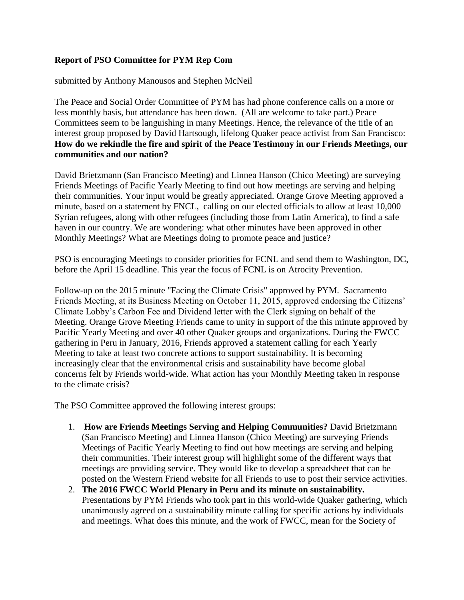## **Report of PSO Committee for PYM Rep Com**

submitted by Anthony Manousos and Stephen McNeil

The Peace and Social Order Committee of PYM has had phone conference calls on a more or less monthly basis, but attendance has been down. (All are welcome to take part.) Peace Committees seem to be languishing in many Meetings. Hence, the relevance of the title of an interest group proposed by David Hartsough, lifelong Quaker peace activist from San Francisco: **How do we rekindle the fire and spirit of the Peace Testimony in our Friends Meetings, our communities and our nation?**

David Brietzmann (San Francisco Meeting) and Linnea Hanson (Chico Meeting) are surveying Friends Meetings of Pacific Yearly Meeting to find out how meetings are serving and helping their communities. Your input would be greatly appreciated. Orange Grove Meeting approved a minute, based on a statement by FNCL, calling on our elected officials to allow at least 10,000 Syrian refugees, along with other refugees (including those from Latin America), to find a safe haven in our country. We are wondering: what other minutes have been approved in other Monthly Meetings? What are Meetings doing to promote peace and justice?

PSO is encouraging Meetings to consider priorities for FCNL and send them to Washington, DC, before the April 15 deadline. This year the focus of FCNL is on Atrocity Prevention.

Follow-up on the 2015 minute "Facing the Climate Crisis" approved by PYM. Sacramento Friends Meeting, at its Business Meeting on October 11, 2015, approved endorsing the Citizens' Climate Lobby's Carbon Fee and Dividend letter with the Clerk signing on behalf of the Meeting. Orange Grove Meeting Friends came to unity in support of the this minute approved by Pacific Yearly Meeting and over 40 other Quaker groups and organizations. During the FWCC gathering in Peru in January, 2016, Friends approved a statement calling for each Yearly Meeting to take at least two concrete actions to support sustainability. It is becoming increasingly clear that the environmental crisis and sustainability have become global concerns felt by Friends world-wide. What action has your Monthly Meeting taken in response to the climate crisis?

The PSO Committee approved the following interest groups:

- 1. **How are Friends Meetings Serving and Helping Communities?** David Brietzmann (San Francisco Meeting) and Linnea Hanson (Chico Meeting) are surveying Friends Meetings of Pacific Yearly Meeting to find out how meetings are serving and helping their communities. Their interest group will highlight some of the different ways that meetings are providing service. They would like to develop a spreadsheet that can be posted on the Western Friend website for all Friends to use to post their service activities.
- 2. **The 2016 FWCC World Plenary in Peru and its minute on sustainability.** Presentations by PYM Friends who took part in this world-wide Quaker gathering, which unanimously agreed on a sustainability minute calling for specific actions by individuals and meetings. What does this minute, and the work of FWCC, mean for the Society of